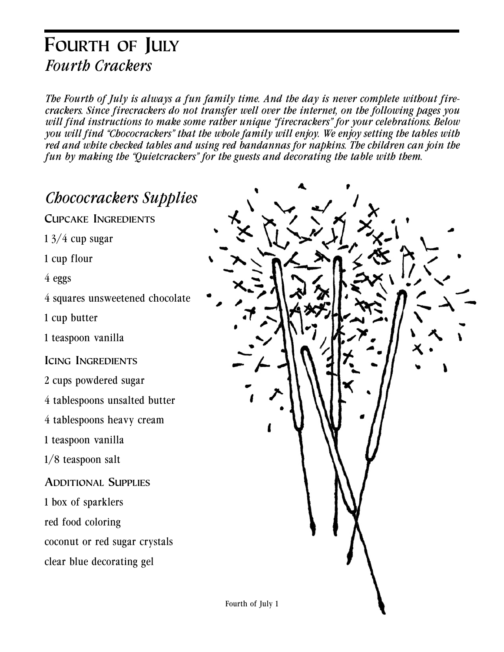### **FOURTH OF JULY** *Fourth Crackers*

*The Fourth of July is always a fun family time. And the day is never complete without firecrackers. Since firecrackers do not transfer well over the internet, on the following pages you will find instructions to make some rather unique "firecrackers" for your celebrations. Below you will find "Chococrackers" that the whole family will enjoy. We enjoy setting the tables with red and white checked tables and using red bandannas for napkins. The children can join the fun by making the "Quietcrackers" for the guests and decorating the table with them.*

*Chococrackers Supplies*

**CUPCAKE INGREDIENTS**

 $13/4$  cup sugar

1 cup flour

4 eggs

4 squares unsweetened chocolate

1 cup butter

1 teaspoon vanilla

**ICING INGREDIENTS**

2 cups powdered sugar

4 tablespoons unsalted butter

4 tablespoons heavy cream

1 teaspoon vanilla

1/8 teaspoon salt

**ADDITIONAL SUPPLIES**

1 box of sparklers

red food coloring

coconut or red sugar crystals

clear blue decorating gel

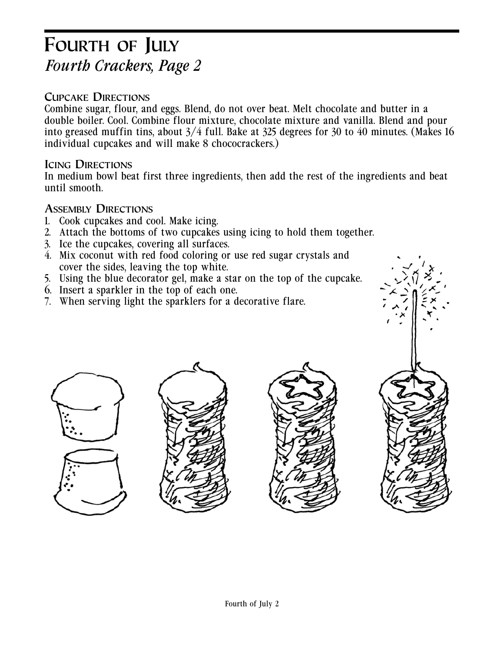# **FOURTH OF JULY** *Fourth Crackers, Page 2*

#### **CUPCAKE DIRECTIONS**

Combine sugar, flour, and eggs. Blend, do not over beat. Melt chocolate and butter in a double boiler. Cool. Combine flour mixture, chocolate mixture and vanilla. Blend and pour into greased muffin tins, about  $3/4$  full. Bake at 325 degrees for 30 to 40 minutes. (Makes 16 individual cupcakes and will make 8 chococrackers.)

#### **ICING DIRECTIONS**

In medium bowl beat first three ingredients, then add the rest of the ingredients and beat until smooth.

#### **ASSEMBLY DIRECTIONS**

- 1. Cook cupcakes and cool. Make icing.
- 2. Attach the bottoms of two cupcakes using icing to hold them together.
- 3. Ice the cupcakes, covering all surfaces.
- 4. Mix coconut with red food coloring or use red sugar crystals and cover the sides, leaving the top white.
- 5. Using the blue decorator gel, make a star on the top of the cupcake.
- 6. Insert a sparkler in the top of each one.
- 7. When serving light the sparklers for a decorative flare.







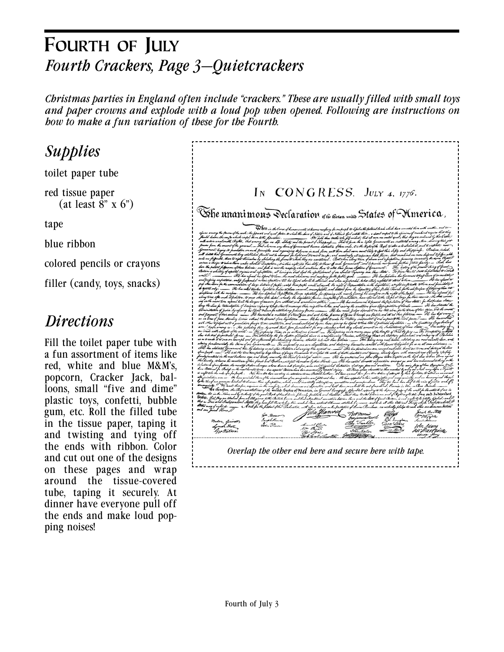# **FOURTH OF JULY** *Fourth Crackers, Page 3—Quietcrackers*

*Christmas parties in England often include "crackers." These are usually filled with small toys and paper crowns and explode with a loud pop when opened. Following are instructions on how to make a fun variation of these for the Fourth.*

*Supplies* toilet paper tube red tissue paper  $(at least 8" x 6")$ tape blue ribbon colored pencils or crayons filler (candy, toys, snacks)

### *Directions*

Fill the toilet paper tube with a fun assortment of items like red, white and blue M&M's, popcorn, Cracker Jack, balloons, small "five and dime" plastic toys, confetti, bubble gum, etc. Roll the filled tube in the tissue paper, taping it and twisting and tying off the ends with ribbon. Color and cut out one of the designs on these pages and wrap around the tissue-covered tube, taping it securely. At dinner have everyone pull off the ends and make loud popping noises!

| IN CONGRESS. JULY 4, 1776.                                                                                                                                                                                                                                                                                                                                                                                                                                                                                                                                                                                                                                                                                                                                                                                                                                                                                                                                                                                                                                                                                                                                                                                                                                                                                                                                                                                                                                                                                                                                                                                                                                                                                                                  |
|---------------------------------------------------------------------------------------------------------------------------------------------------------------------------------------------------------------------------------------------------------------------------------------------------------------------------------------------------------------------------------------------------------------------------------------------------------------------------------------------------------------------------------------------------------------------------------------------------------------------------------------------------------------------------------------------------------------------------------------------------------------------------------------------------------------------------------------------------------------------------------------------------------------------------------------------------------------------------------------------------------------------------------------------------------------------------------------------------------------------------------------------------------------------------------------------------------------------------------------------------------------------------------------------------------------------------------------------------------------------------------------------------------------------------------------------------------------------------------------------------------------------------------------------------------------------------------------------------------------------------------------------------------------------------------------------------------------------------------------------|
|                                                                                                                                                                                                                                                                                                                                                                                                                                                                                                                                                                                                                                                                                                                                                                                                                                                                                                                                                                                                                                                                                                                                                                                                                                                                                                                                                                                                                                                                                                                                                                                                                                                                                                                                             |
| Whe unanimous Declaration <sub>of the thirteen</sub> united States of Mmerica ,                                                                                                                                                                                                                                                                                                                                                                                                                                                                                                                                                                                                                                                                                                                                                                                                                                                                                                                                                                                                                                                                                                                                                                                                                                                                                                                                                                                                                                                                                                                                                                                                                                                             |
| D Getz in the lowest of human excets, it knows meefuary for ourprople to defectur the fectional bank which have connected them in<br>to which the Lewis of Nature and of Nature's God ontitle them , a chamb respect to the opinions of<br>pparak and u<br>We hold then truth tole<br>n an could squal, that to<br>Kom tothe<br>fif wident, that all m<br>kl. Quike,<br>un dh ne tujdit, Janunmusti an<br>it of Ilapp<br>That to be<br>lo, it is the stight of the Elight to also in to abolish at, an<br>ating of the<br>l Ilappi<br>t libily to eff<br>d. But us<br>e till his Aford ahe<br>v. to<br>d to the Ob<br>leeter; fn th<br>fo our floople, and est out their<br>$M_0$<br>He has afaited to combe<br>rgioing hi<br>Ter Quarter<br>di by var lavn<br>é tethni Ati of<br>$\mu_{\alpha}$<br>ati af the world:<br>dute tule<br>nd dielaring lir<br>nadem bzi <i>k</i> kar <i>Handa</i><br>ešte latit ilu<br>$H_{\rm c}$ $\chi$<br>insistably interesperse<br>We must, therefore,<br>ty, which denounces out the<br>the levelfore, the <i>Reprenentatives of the r</i> evaled Searces of Somerica, in Jimual <i>benegrefs, lifecul</i><br>Is in the Nime and by a <i>ddonty of the good Chipk of Haubalomic, folumaly frestilish and becelare , Thae thu</i><br>do<br>al lilleg<br>a tothe British La<br>l connation between the<br>Jui ana<br>Independent States, they have full Power to lary War, conclude Bu<br>et Allianow, atablish Comment , and be do all other Ada and The<br>And for the fight of the Deducation, with.<br>h abha caashina<br>e on Ke frosta<br>tun of élevine Picerdonae, coa mistreally<br>B.<br>Bigh Bartons<br>Womerni<br>gon Horser<br>M-Mygle<br>rjamin Kust<br>South Henry,<br>Sant Adam<br>San Linn |
| sutton, funnellt.<br>Lyman Hall.<br>90K <sub>n</sub> 0<br>John <u>Adams</u><br>10+ Paca<br>Ger Walton.<br>hiv Frankins<br>$A$ orton<br>The Stone<br>de berell of boyet the                                                                                                                                                                                                                                                                                                                                                                                                                                                                                                                                                                                                                                                                                                                                                                                                                                                                                                                                                                                                                                                                                                                                                                                                                                                                                                                                                                                                                                                                                                                                                                  |
| Overlap the other end here and secure here with tape.                                                                                                                                                                                                                                                                                                                                                                                                                                                                                                                                                                                                                                                                                                                                                                                                                                                                                                                                                                                                                                                                                                                                                                                                                                                                                                                                                                                                                                                                                                                                                                                                                                                                                       |